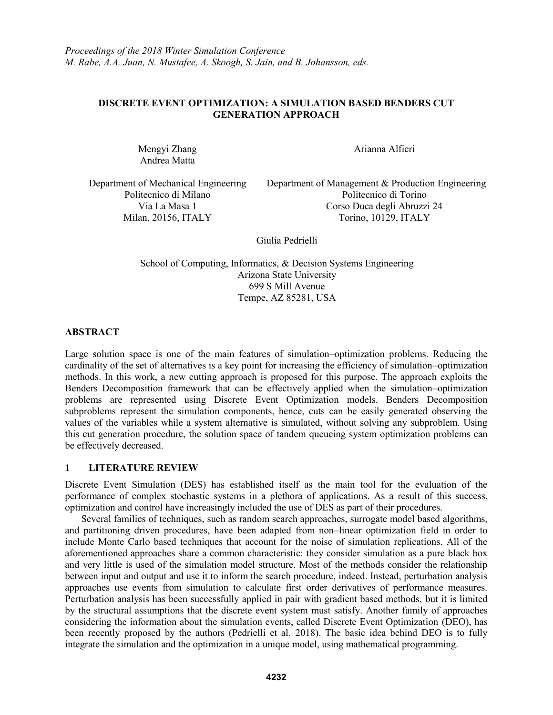# **DISCRETE EVENT OPTIMIZATION: A SIMULATION BASED BENDERS CUT GENERATION APPROACH**

Mengyi Zhang Andrea Matta

Arianna Alfieri

Department of Mechanical Engineering Politecnico di Milano

Department of Management & Production Engineering Politecnico di Torino Via La Masa 1 Corso Duca degli Abruzzi 24 Milan, 20156, ITALY Torino, 10129, ITALY

Giulia Pedrielli

School of Computing, Informatics, & Decision Systems Engineering Arizona State University 699 S Mill Avenue Tempe, AZ 85281, USA

**ABSTRACT**

Large solution space is one of the main features of simulation–optimization problems. Reducing the cardinality of the set of alternatives is a key point for increasing the efficiency of simulation–optimization methods. In this work, a new cutting approach is proposed for this purpose. The approach exploits the Benders Decomposition framework that can be effectively applied when the simulation–optimization problems are represented using Discrete Event Optimization models. Benders Decomposition subproblems represent the simulation components, hence, cuts can be easily generated observing the values of the variables while a system alternative is simulated, without solving any subproblem. Using this cut generation procedure, the solution space of tandem queueing system optimization problems can be effectively decreased.

### **1 LITERATURE REVIEW**

Discrete Event Simulation (DES) has established itself as the main tool for the evaluation of the performance of complex stochastic systems in a plethora of applications. As a result of this success, optimization and control have increasingly included the use of DES as part of their procedures.

Several families of techniques, such as random search approaches, surrogate model based algorithms, and partitioning driven procedures, have been adapted from non–linear optimization field in order to include Monte Carlo based techniques that account for the noise of simulation replications. All of the aforementioned approaches share a common characteristic: they consider simulation as a pure black box and very little is used of the simulation model structure. Most of the methods consider the relationship between input and output and use it to inform the search procedure, indeed. Instead, perturbation analysis approaches use events from simulation to calculate first order derivatives of performance measures. Perturbation analysis has been successfully applied in pair with gradient based methods, but it is limited by the structural assumptions that the discrete event system must satisfy. Another family of approaches considering the information about the simulation events, called Discrete Event Optimization (DEO), has been recently proposed by the authors (Pedrielli et al. 2018). The basic idea behind DEO is to fully integrate the simulation and the optimization in a unique model, using mathematical programming.